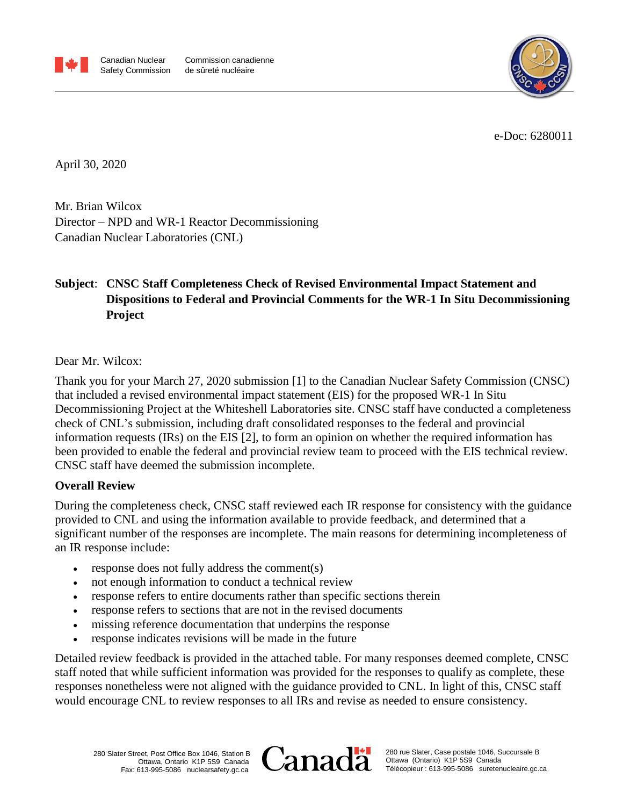



e-Doc: 6280011

April 30, 2020

Mr. Brian Wilcox Director – NPD and WR-1 Reactor Decommissioning Canadian Nuclear Laboratories (CNL)

# **Subject**: **CNSC Staff Completeness Check of Revised Environmental Impact Statement and Dispositions to Federal and Provincial Comments for the WR-1 In Situ Decommissioning Project**

Dear Mr. Wilcox:

Thank you for your March 27, 2020 submission [1] to the Canadian Nuclear Safety Commission (CNSC) that included a revised environmental impact statement (EIS) for the proposed WR-1 In Situ Decommissioning Project at the Whiteshell Laboratories site. CNSC staff have conducted a completeness check of CNL's submission, including draft consolidated responses to the federal and provincial information requests (IRs) on the EIS [2], to form an opinion on whether the required information has been provided to enable the federal and provincial review team to proceed with the EIS technical review. CNSC staff have deemed the submission incomplete.

### **Overall Review**

During the completeness check, CNSC staff reviewed each IR response for consistency with the guidance provided to CNL and using the information available to provide feedback, and determined that a significant number of the responses are incomplete. The main reasons for determining incompleteness of an IR response include:

- response does not fully address the comment(s)
- not enough information to conduct a technical review
- response refers to entire documents rather than specific sections therein
- response refers to sections that are not in the revised documents
- missing reference documentation that underpins the response
- response indicates revisions will be made in the future

Detailed review feedback is provided in the attached table. For many responses deemed complete, CNSC staff noted that while sufficient information was provided for the responses to qualify as complete, these responses nonetheless were not aligned with the guidance provided to CNL. In light of this, CNSC staff would encourage CNL to review responses to all IRs and revise as needed to ensure consistency.

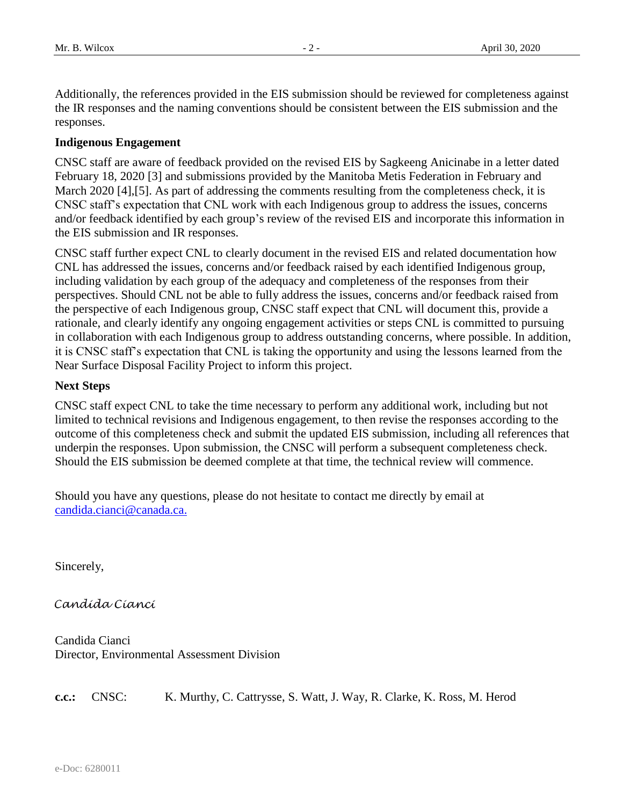Additionally, the references provided in the EIS submission should be reviewed for completeness against the IR responses and the naming conventions should be consistent between the EIS submission and the responses.

#### **Indigenous Engagement**

CNSC staff are aware of feedback provided on the revised EIS by Sagkeeng Anicinabe in a letter dated February 18, 2020 [3] and submissions provided by the Manitoba Metis Federation in February and March 2020 [4],[5]. As part of addressing the comments resulting from the completeness check, it is CNSC staff's expectation that CNL work with each Indigenous group to address the issues, concerns and/or feedback identified by each group's review of the revised EIS and incorporate this information in the EIS submission and IR responses.

CNSC staff further expect CNL to clearly document in the revised EIS and related documentation how CNL has addressed the issues, concerns and/or feedback raised by each identified Indigenous group, including validation by each group of the adequacy and completeness of the responses from their perspectives. Should CNL not be able to fully address the issues, concerns and/or feedback raised from the perspective of each Indigenous group, CNSC staff expect that CNL will document this, provide a rationale, and clearly identify any ongoing engagement activities or steps CNL is committed to pursuing in collaboration with each Indigenous group to address outstanding concerns, where possible. In addition, it is CNSC staff's expectation that CNL is taking the opportunity and using the lessons learned from the Near Surface Disposal Facility Project to inform this project.

#### **Next Steps**

CNSC staff expect CNL to take the time necessary to perform any additional work, including but not limited to technical revisions and Indigenous engagement, to then revise the responses according to the outcome of this completeness check and submit the updated EIS submission, including all references that underpin the responses. Upon submission, the CNSC will perform a subsequent completeness check. Should the EIS submission be deemed complete at that time, the technical review will commence.

Should you have any questions, please do not hesitate to contact me directly by email at [candida.cianci@canada.ca.](mailto:jessica.way@canada.ca)

Sincerely,

Candída Cíancí

Candida Cianci Director, Environmental Assessment Division

**c.c.:** CNSC: K. Murthy, C. Cattrysse, S. Watt, J. Way, R. Clarke, K. Ross, M. Herod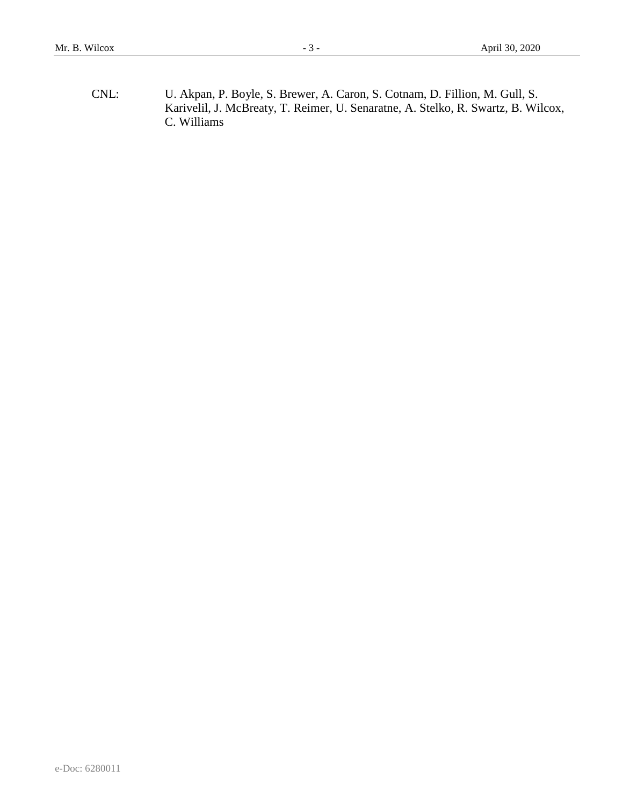CNL: U. Akpan, P. Boyle, S. Brewer, A. Caron, S. Cotnam, D. Fillion, M. Gull, S. Karivelil, J. McBreaty, T. Reimer, U. Senaratne, A. Stelko, R. Swartz, B. Wilcox, C. Williams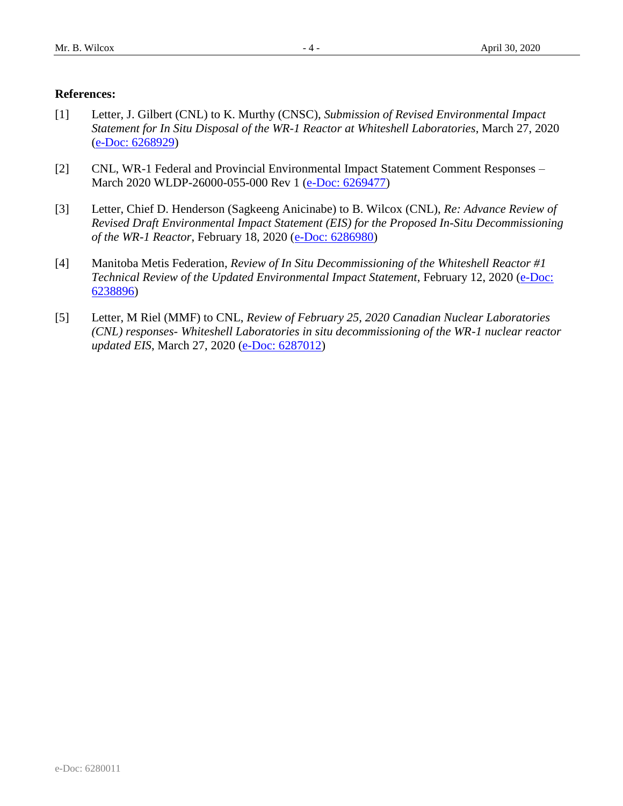#### **References:**

- [1] Letter, J. Gilbert (CNL) to K. Murthy (CNSC), *Submission of Revised Environmental Impact Statement for In Situ Disposal of the WR-1 Reactor at Whiteshell Laboratories*, March 27, 2020 (e-Doc: [6268929\)](pcdocs://E-DOCS/6268929/R)
- [2] CNL, WR-1 Federal and Provincial Environmental Impact Statement Comment Responses March 2020 WLDP-26000-055-000 Rev 1 (e-Doc: [6269477\)](pcdocs://E-DOCS/6269477/R)
- [3] Letter, Chief D. Henderson (Sagkeeng Anicinabe) to B. Wilcox (CNL), *Re: Advance Review of Revised Draft Environmental Impact Statement (EIS) for the Proposed In-Situ Decommissioning of the WR-1 Reactor*, February 18, 2020 [\(e-Doc: 6286980\)](pcdocs://E-DOCS/6286980/R)
- [4] Manitoba Metis Federation, *Review of In Situ Decommissioning of the Whiteshell Reactor #1 Technical Review of the Updated Environmental Impact Statement*, February 12, 2020 (e-Doc: [6238896\)](pcdocs://E-DOCS/6238896/R)
- [5] Letter, M Riel (MMF) to CNL, *Review of February 25, 2020 Canadian Nuclear Laboratories (CNL) responses- Whiteshell Laboratories in situ decommissioning of the WR-1 nuclear reactor updated EIS*, March 27, 2020 [\(e-Doc: 6287012\)](pcdocs://E-DOCS/6287012/R)